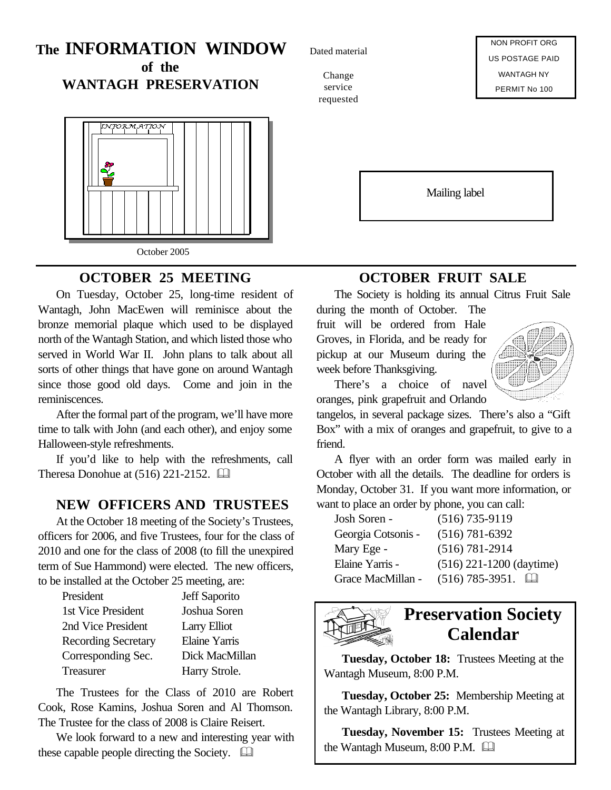# **The INFORMATION WINDOW**

**of the WANTAGH PRESERVATION**



## **OCTOBER 25 MEETING**

On Tuesday, October 25, long-time resident of Wantagh, John MacEwen will reminisce about the bronze memorial plaque which used to be displayed north of the Wantagh Station, and which listed those who served in World War II. John plans to talk about all sorts of other things that have gone on around Wantagh since those good old days. Come and join in the reminiscences.

After the formal part of the program, we'll have more time to talk with John (and each other), and enjoy some Halloween-style refreshments.

If you'd like to help with the refreshments, call Theresa Donohue at  $(516)$  221-2152.  $\Box$ 

## **NEW OFFICERS AND TRUSTEES**

At the October 18 meeting of the Society's Trustees, officers for 2006, and five Trustees, four for the class of 2010 and one for the class of 2008 (to fill the unexpired term of Sue Hammond) were elected. The new officers, to be installed at the October 25 meeting, are:

| Jeff Saporito  |
|----------------|
| Joshua Soren   |
| Larry Elliot   |
| Elaine Yarris  |
| Dick MacMillan |
| Harry Strole.  |
|                |

The Trustees for the Class of 2010 are Robert Cook, Rose Kamins, Joshua Soren and Al Thomson. The Trustee for the class of 2008 is Claire Reisert.

We look forward to a new and interesting year with these capable people directing the Society.  $\Box$ 

Dated material

Change service requested

NON PROFIT ORG US POSTAGE PAID WANTAGH NY PERMIT No 100

Mailing label

## **OCTOBER FRUIT SALE**

The Society is holding its annual Citrus Fruit Sale

during the month of October. The fruit will be ordered from Hale Groves, in Florida, and be ready for pickup at our Museum during the week before Thanksgiving.



There's a choice of navel oranges, pink grapefruit and Orlando

tangelos, in several package sizes. There's also a "Gift Box" with a mix of oranges and grapefruit, to give to a friend.

A flyer with an order form was mailed early in October with all the details. The deadline for orders is Monday, October 31. If you want more information, or want to place an order by phone, you can call:

| Josh Soren -       | $(516)$ 735-9119               |
|--------------------|--------------------------------|
| Georgia Cotsonis - | $(516) 781 - 6392$             |
| Mary Ege -         | $(516) 781 - 2914$             |
| Elaine Yarris -    | $(516)$ 221-1200 (daytime)     |
| Grace MacMillan -  | $(516)$ 785-3951.<br><b>LJ</b> |



# **Preservation Society Calendar**

**Tuesday, October 18:** Trustees Meeting at the Wantagh Museum, 8:00 P.M.

**Tuesday, October 25:** Membership Meeting at the Wantagh Library, 8:00 P.M.

**Tuesday, November 15:** Trustees Meeting at the Wantagh Museum, 8:00 P.M.  $\Box$